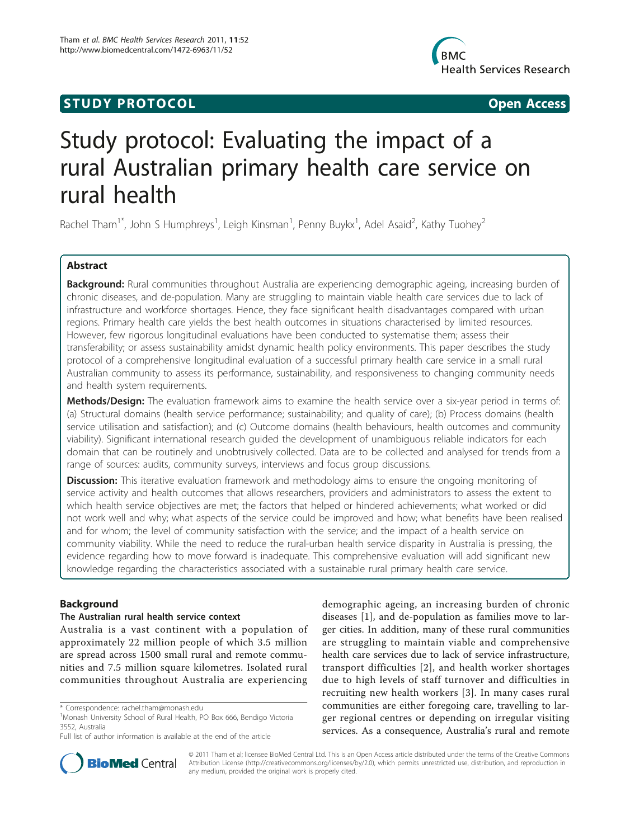# **STUDY PROTOCOL CONSUMING ACCESS**



# Study protocol: Evaluating the impact of a rural Australian primary health care service on rural health

Rachel Tham<sup>1\*</sup>, John S Humphreys<sup>1</sup>, Leigh Kinsman<sup>1</sup>, Penny Buykx<sup>1</sup>, Adel Asaid<sup>2</sup>, Kathy Tuohey<sup>2</sup>

# Abstract

Background: Rural communities throughout Australia are experiencing demographic ageing, increasing burden of chronic diseases, and de-population. Many are struggling to maintain viable health care services due to lack of infrastructure and workforce shortages. Hence, they face significant health disadvantages compared with urban regions. Primary health care yields the best health outcomes in situations characterised by limited resources. However, few rigorous longitudinal evaluations have been conducted to systematise them; assess their transferability; or assess sustainability amidst dynamic health policy environments. This paper describes the study protocol of a comprehensive longitudinal evaluation of a successful primary health care service in a small rural Australian community to assess its performance, sustainability, and responsiveness to changing community needs and health system requirements.

Methods/Design: The evaluation framework aims to examine the health service over a six-year period in terms of: (a) Structural domains (health service performance; sustainability; and quality of care); (b) Process domains (health service utilisation and satisfaction); and (c) Outcome domains (health behaviours, health outcomes and community viability). Significant international research guided the development of unambiguous reliable indicators for each domain that can be routinely and unobtrusively collected. Data are to be collected and analysed for trends from a range of sources: audits, community surveys, interviews and focus group discussions.

**Discussion:** This iterative evaluation framework and methodology aims to ensure the ongoing monitoring of service activity and health outcomes that allows researchers, providers and administrators to assess the extent to which health service objectives are met; the factors that helped or hindered achievements; what worked or did not work well and why; what aspects of the service could be improved and how; what benefits have been realised and for whom; the level of community satisfaction with the service; and the impact of a health service on community viability. While the need to reduce the rural-urban health service disparity in Australia is pressing, the evidence regarding how to move forward is inadequate. This comprehensive evaluation will add significant new knowledge regarding the characteristics associated with a sustainable rural primary health care service.

# Background

# The Australian rural health service context

Australia is a vast continent with a population of approximately 22 million people of which 3.5 million are spread across 1500 small rural and remote communities and 7.5 million square kilometres. Isolated rural communities throughout Australia are experiencing

Full list of author information is available at the end of the article





© 2011 Tham et al; licensee BioMed Central Ltd. This is an Open Access article distributed under the terms of the Creative Commons Attribution License [\(http://creativecommons.org/licenses/by/2.0](http://creativecommons.org/licenses/by/2.0)), which permits unrestricted use, distribution, and reproduction in any medium, provided the original work is properly cited.

<sup>\*</sup> Correspondence: [rachel.tham@monash.edu](mailto:rachel.tham@monash.edu)

<sup>&</sup>lt;sup>1</sup>Monash University School of Rural Health, PO Box 666, Bendigo Victoria 3552, Australia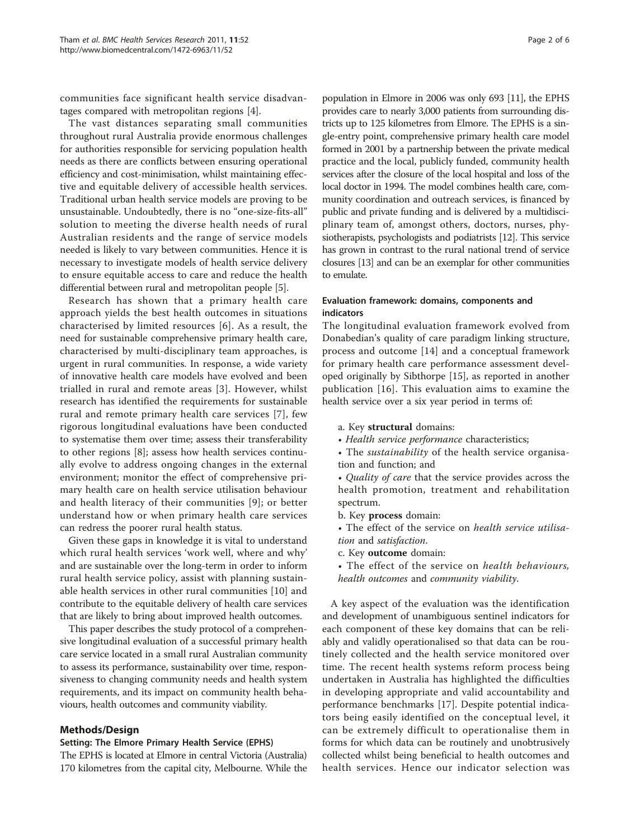communities face significant health service disadvantages compared with metropolitan regions [[4\]](#page-5-0).

The vast distances separating small communities throughout rural Australia provide enormous challenges for authorities responsible for servicing population health needs as there are conflicts between ensuring operational efficiency and cost-minimisation, whilst maintaining effective and equitable delivery of accessible health services. Traditional urban health service models are proving to be unsustainable. Undoubtedly, there is no "one-size-fits-all" solution to meeting the diverse health needs of rural Australian residents and the range of service models needed is likely to vary between communities. Hence it is necessary to investigate models of health service delivery to ensure equitable access to care and reduce the health differential between rural and metropolitan people [\[5\]](#page-5-0).

Research has shown that a primary health care approach yields the best health outcomes in situations characterised by limited resources [\[6](#page-5-0)]. As a result, the need for sustainable comprehensive primary health care, characterised by multi-disciplinary team approaches, is urgent in rural communities. In response, a wide variety of innovative health care models have evolved and been trialled in rural and remote areas [\[3](#page-5-0)]. However, whilst research has identified the requirements for sustainable rural and remote primary health care services [[7\]](#page-5-0), few rigorous longitudinal evaluations have been conducted to systematise them over time; assess their transferability to other regions [[8\]](#page-5-0); assess how health services continually evolve to address ongoing changes in the external environment; monitor the effect of comprehensive primary health care on health service utilisation behaviour and health literacy of their communities [\[9\]](#page-5-0); or better understand how or when primary health care services can redress the poorer rural health status.

Given these gaps in knowledge it is vital to understand which rural health services 'work well, where and why' and are sustainable over the long-term in order to inform rural health service policy, assist with planning sustainable health services in other rural communities [\[10](#page-5-0)] and contribute to the equitable delivery of health care services that are likely to bring about improved health outcomes.

This paper describes the study protocol of a comprehensive longitudinal evaluation of a successful primary health care service located in a small rural Australian community to assess its performance, sustainability over time, responsiveness to changing community needs and health system requirements, and its impact on community health behaviours, health outcomes and community viability.

### Methods/Design

#### Setting: The Elmore Primary Health Service (EPHS)

The EPHS is located at Elmore in central Victoria (Australia) 170 kilometres from the capital city, Melbourne. While the

population in Elmore in 2006 was only 693 [[11](#page-5-0)], the EPHS provides care to nearly 3,000 patients from surrounding districts up to 125 kilometres from Elmore. The EPHS is a single-entry point, comprehensive primary health care model formed in 2001 by a partnership between the private medical practice and the local, publicly funded, community health services after the closure of the local hospital and loss of the local doctor in 1994. The model combines health care, community coordination and outreach services, is financed by public and private funding and is delivered by a multidisciplinary team of, amongst others, doctors, nurses, physiotherapists, psychologists and podiatrists [\[12](#page-5-0)]. This service has grown in contrast to the rural national trend of service closures [\[13\]](#page-5-0) and can be an exemplar for other communities to emulate.

# Evaluation framework: domains, components and indicators

The longitudinal evaluation framework evolved from Donabedian's quality of care paradigm linking structure, process and outcome [\[14](#page-5-0)] and a conceptual framework for primary health care performance assessment developed originally by Sibthorpe [[15\]](#page-5-0), as reported in another publication [[16](#page-5-0)]. This evaluation aims to examine the health service over a six year period in terms of:

- a. Key structural domains:
- Health service performance characteristics;
- The sustainability of the health service organisation and function; and

• Quality of care that the service provides across the health promotion, treatment and rehabilitation spectrum.

- b. Key process domain:
- The effect of the service on health service utilisation and satisfaction.
- c. Key outcome domain:
- The effect of the service on health behaviours, health outcomes and community viability.

A key aspect of the evaluation was the identification and development of unambiguous sentinel indicators for each component of these key domains that can be reliably and validly operationalised so that data can be routinely collected and the health service monitored over time. The recent health systems reform process being undertaken in Australia has highlighted the difficulties in developing appropriate and valid accountability and performance benchmarks [\[17](#page-5-0)]. Despite potential indicators being easily identified on the conceptual level, it can be extremely difficult to operationalise them in forms for which data can be routinely and unobtrusively collected whilst being beneficial to health outcomes and health services. Hence our indicator selection was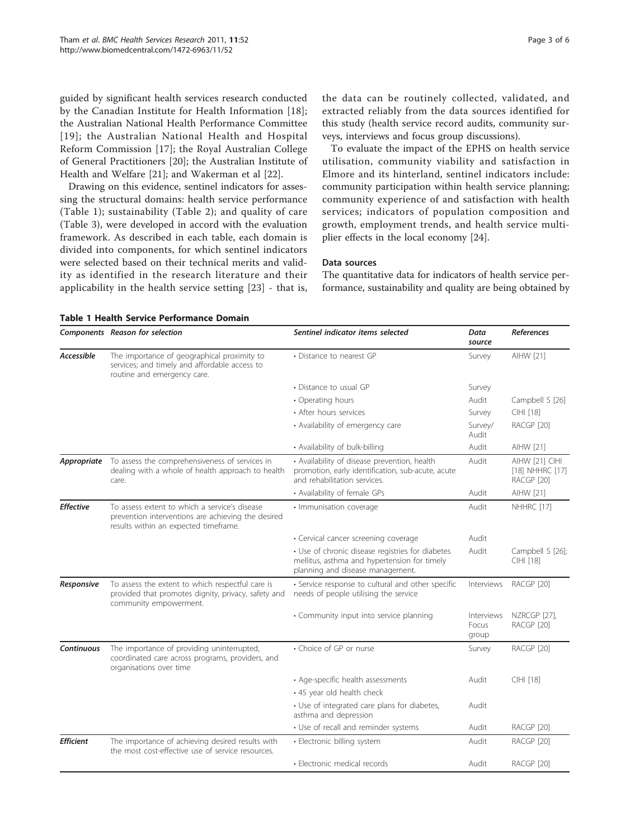guided by significant health services research conducted by the Canadian Institute for Health Information [[18](#page-5-0)]; the Australian National Health Performance Committee [[19](#page-5-0)]; the Australian National Health and Hospital Reform Commission [\[17](#page-5-0)]; the Royal Australian College of General Practitioners [\[20](#page-5-0)]; the Australian Institute of Health and Welfare [[21\]](#page-5-0); and Wakerman et al [[22](#page-5-0)].

Drawing on this evidence, sentinel indicators for assessing the structural domains: health service performance (Table 1); sustainability (Table [2](#page-3-0)); and quality of care (Table [3\)](#page-3-0), were developed in accord with the evaluation framework. As described in each table, each domain is divided into components, for which sentinel indicators were selected based on their technical merits and validity as identified in the research literature and their applicability in the health service setting [\[23](#page-5-0)] - that is,

the data can be routinely collected, validated, and extracted reliably from the data sources identified for this study (health service record audits, community surveys, interviews and focus group discussions).

To evaluate the impact of the EPHS on health service utilisation, community viability and satisfaction in Elmore and its hinterland, sentinel indicators include: community participation within health service planning; community experience of and satisfaction with health services; indicators of population composition and growth, employment trends, and health service multiplier effects in the local economy [[24\]](#page-5-0).

#### Data sources

The quantitative data for indicators of health service performance, sustainability and quality are being obtained by

|  |  |  | <b>Table 1 Health Service Performance Domain</b> |  |
|--|--|--|--------------------------------------------------|--|
|--|--|--|--------------------------------------------------|--|

|                   | Components Reason for selection                                                                                                              | Sentinel indicator items selected                                                                                                    | Data<br>source               | <b>References</b>                               |
|-------------------|----------------------------------------------------------------------------------------------------------------------------------------------|--------------------------------------------------------------------------------------------------------------------------------------|------------------------------|-------------------------------------------------|
| Accessible        | The importance of geographical proximity to<br>services; and timely and affordable access to<br>routine and emergency care.                  | • Distance to nearest GP                                                                                                             | Survey                       | AIHW [21]                                       |
|                   |                                                                                                                                              | • Distance to usual GP                                                                                                               | Survey                       |                                                 |
|                   |                                                                                                                                              | • Operating hours                                                                                                                    | Audit                        | Campbell S [26]                                 |
|                   |                                                                                                                                              | • After hours services                                                                                                               | Survey                       | CIHI [18]                                       |
|                   |                                                                                                                                              | • Availability of emergency care                                                                                                     | Survey/<br>Audit             | RACGP [20]                                      |
|                   |                                                                                                                                              | • Availability of bulk-billing                                                                                                       | Audit                        | AIHW [21]                                       |
|                   | <b>Appropriate</b> To assess the comprehensiveness of services in<br>dealing with a whole of health approach to health<br>care.              | • Availability of disease prevention, health<br>promotion, early identification, sub-acute, acute<br>and rehabilitation services.    | Audit                        | AIHW [21] CIHI<br>[18] NHHRC [17]<br>RACGP [20] |
|                   |                                                                                                                                              | • Availability of female GPs                                                                                                         | Audit                        | AIHW [21]                                       |
| <b>Effective</b>  | To assess extent to which a service's disease<br>prevention interventions are achieving the desired<br>results within an expected timeframe. | · Immunisation coverage                                                                                                              | Audit                        | NHHRC [17]                                      |
|                   |                                                                                                                                              | · Cervical cancer screening coverage                                                                                                 | Audit                        |                                                 |
|                   |                                                                                                                                              | · Use of chronic disease registries for diabetes<br>mellitus, asthma and hypertension for timely<br>planning and disease management. | Audit                        | Campbell S [26];<br>CIHI [18]                   |
| Responsive        | To assess the extent to which respectful care is<br>provided that promotes dignity, privacy, safety and<br>community empowerment.            | · Service response to cultural and other specific<br>needs of people utilising the service                                           | Interviews                   | RACGP [20]                                      |
|                   |                                                                                                                                              | • Community input into service planning                                                                                              | Interviews<br>Focus<br>group | NZRCGP [27],<br>RACGP [20]                      |
| <b>Continuous</b> | The importance of providing uninterrupted,<br>coordinated care across programs, providers, and<br>organisations over time                    | • Choice of GP or nurse                                                                                                              | Survey                       | RACGP [20]                                      |
|                   |                                                                                                                                              | • Age-specific health assessments                                                                                                    | Audit                        | CIHI [18]                                       |
|                   |                                                                                                                                              | • 45 year old health check                                                                                                           |                              |                                                 |
|                   |                                                                                                                                              | • Use of integrated care plans for diabetes,<br>asthma and depression                                                                | Audit                        |                                                 |
|                   |                                                                                                                                              | • Use of recall and reminder systems                                                                                                 | Audit                        | RACGP [20]                                      |
| <b>Efficient</b>  | The importance of achieving desired results with<br>the most cost-effective use of service resources.                                        | • Electronic billing system                                                                                                          | Audit                        | RACGP [20]                                      |
|                   |                                                                                                                                              | · Electronic medical records                                                                                                         | Audit                        | RACGP [20]                                      |
|                   |                                                                                                                                              |                                                                                                                                      |                              |                                                 |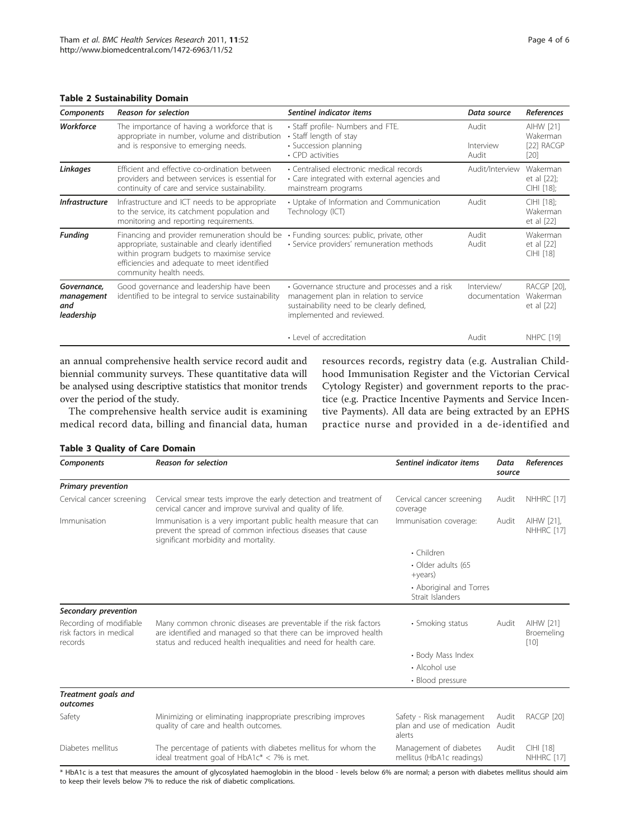# <span id="page-3-0"></span>Table 2 Sustainability Domain

| <b>Components</b>                              | <b>Reason for selection</b>                                                                                                                                                                                               | Sentinel indicator items                                                                                                                                             | Data source                 | <b>References</b>                                    |
|------------------------------------------------|---------------------------------------------------------------------------------------------------------------------------------------------------------------------------------------------------------------------------|----------------------------------------------------------------------------------------------------------------------------------------------------------------------|-----------------------------|------------------------------------------------------|
| <b>Workforce</b>                               | The importance of having a workforce that is<br>appropriate in number, volume and distribution<br>and is responsive to emerging needs.                                                                                    | • Staff profile- Numbers and FTE.<br>• Staff length of stay<br>· Succession planning<br>• CPD activities                                                             | Audit<br>Interview<br>Audit | <b>AIHW [21]</b><br>Wakerman<br>[22] RACGP<br>$[20]$ |
| Linkages                                       | Efficient and effective co-ordination between<br>providers and between services is essential for<br>continuity of care and service sustainability.                                                                        | • Centralised electronic medical records<br>• Care integrated with external agencies and<br>mainstream programs                                                      | Audit/Interview             | Wakerman<br>et al [22];<br>CIHI [18];                |
| <b>Infrastructure</b>                          | Infrastructure and ICT needs to be appropriate<br>to the service, its catchment population and<br>monitoring and reporting requirements.                                                                                  | • Uptake of Information and Communication<br>Technology (ICT)                                                                                                        | Audit                       | CIHI [18]:<br>Wakerman<br>et al [22]                 |
| <b>Funding</b>                                 | Financing and provider remuneration should be<br>appropriate, sustainable and clearly identified<br>within program budgets to maximise service<br>efficiencies and adequate to meet identified<br>community health needs. | • Funding sources: public, private, other<br>· Service providers' remuneration methods                                                                               | Audit<br>Audit              | Wakerman<br>et al [22]<br>CIHI [18]                  |
| Governance.<br>management<br>and<br>leadership | Good governance and leadership have been<br>identified to be integral to service sustainability                                                                                                                           | • Governance structure and processes and a risk<br>management plan in relation to service<br>sustainability need to be clearly defined,<br>implemented and reviewed. | Interview/<br>documentation | RACGP [20],<br>Wakerman<br>et al [22]                |
|                                                |                                                                                                                                                                                                                           | • Level of accreditation                                                                                                                                             | Audit                       | NHPC [19]                                            |

an annual comprehensive health service record audit and biennial community surveys. These quantitative data will be analysed using descriptive statistics that monitor trends over the period of the study.

The comprehensive health service audit is examining medical record data, billing and financial data, human resources records, registry data (e.g. Australian Childhood Immunisation Register and the Victorian Cervical Cytology Register) and government reports to the practice (e.g. Practice Incentive Payments and Service Incentive Payments). All data are being extracted by an EPHS practice nurse and provided in a de-identified and

| <b>Components</b>                                             | <b>Reason for selection</b>                                                                                                                                                                             | Sentinel indicator items                                         | Data<br>source | <b>References</b>               |
|---------------------------------------------------------------|---------------------------------------------------------------------------------------------------------------------------------------------------------------------------------------------------------|------------------------------------------------------------------|----------------|---------------------------------|
| <b>Primary prevention</b>                                     |                                                                                                                                                                                                         |                                                                  |                |                                 |
| Cervical cancer screening                                     | Cervical smear tests improve the early detection and treatment of<br>cervical cancer and improve survival and quality of life.                                                                          | Cervical cancer screening<br>coverage                            | Audit          | <b>NHHRC</b> [17]               |
| Immunisation                                                  | Immunisation is a very important public health measure that can<br>prevent the spread of common infectious diseases that cause<br>significant morbidity and mortality.                                  | Immunisation coverage:                                           | Audit          | AIHW [21],<br>NHHRC [17]        |
|                                                               |                                                                                                                                                                                                         | • Children                                                       |                |                                 |
|                                                               |                                                                                                                                                                                                         | • Older adults (65<br>$+\veeears)$                               |                |                                 |
|                                                               |                                                                                                                                                                                                         | • Aboriginal and Torres<br>Strait Islanders                      |                |                                 |
| Secondary prevention                                          |                                                                                                                                                                                                         |                                                                  |                |                                 |
| Recording of modifiable<br>risk factors in medical<br>records | Many common chronic diseases are preventable if the risk factors<br>are identified and managed so that there can be improved health<br>status and reduced health inequalities and need for health care. | • Smoking status                                                 | Audit          | AIHW [21]<br>Broemeling<br>[10] |
|                                                               |                                                                                                                                                                                                         | • Body Mass Index                                                |                |                                 |
|                                                               |                                                                                                                                                                                                         | • Alcohol use                                                    |                |                                 |
|                                                               |                                                                                                                                                                                                         | • Blood pressure                                                 |                |                                 |
| Treatment goals and<br>outcomes                               |                                                                                                                                                                                                         |                                                                  |                |                                 |
| Safety                                                        | Minimizing or eliminating inappropriate prescribing improves<br>quality of care and health outcomes.                                                                                                    | Safety - Risk management<br>plan and use of medication<br>alerts | Audit<br>Audit | RACGP [20]                      |
| Diabetes mellitus                                             | The percentage of patients with diabetes mellitus for whom the<br>ideal treatment goal of $HbA1c^* < 7%$ is met.                                                                                        | Management of diabetes<br>mellitus (HbA1c readings)              | Audit          | CIHI [18]<br><b>NHHRC</b> [17]  |

# Table 3 Quality of Care Domain

\* HbA1c is a test that measures the amount of glycosylated haemoglobin in the blood - levels below 6% are normal; a person with diabetes mellitus should aim to keep their levels below 7% to reduce the risk of diabetic complications.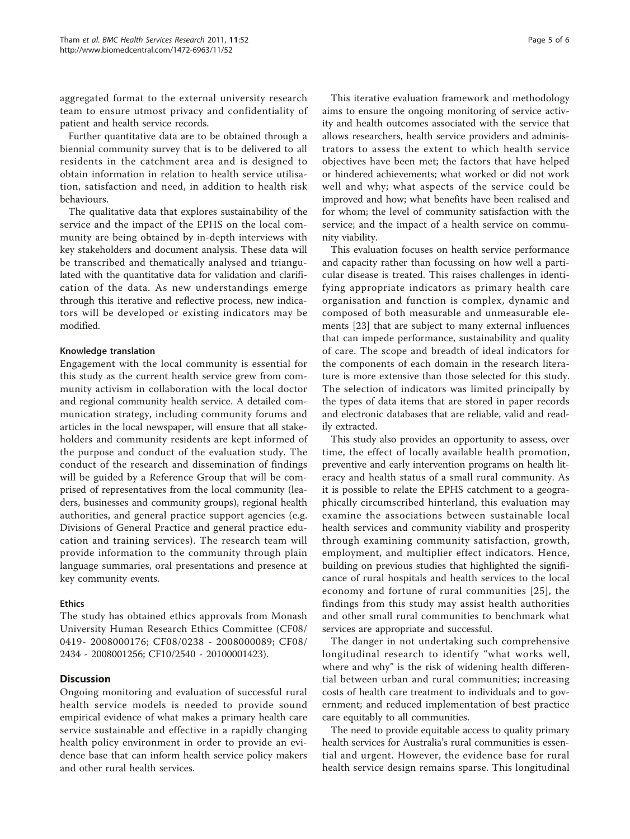aggregated format to the external university research team to ensure utmost privacy and confidentiality of patient and health service records.

Further quantitative data are to be obtained through a biennial community survey that is to be delivered to all residents in the catchment area and is designed to obtain information in relation to health service utilisation, satisfaction and need, in addition to health risk behaviours.

The qualitative data that explores sustainability of the service and the impact of the EPHS on the local community are being obtained by in-depth interviews with key stakeholders and document analysis. These data will be transcribed and thematically analysed and triangulated with the quantitative data for validation and clarification of the data. As new understandings emerge through this iterative and reflective process, new indicators will be developed or existing indicators may be modified.

# Knowledge translation

Engagement with the local community is essential for this study as the current health service grew from community activism in collaboration with the local doctor and regional community health service. A detailed communication strategy, including community forums and articles in the local newspaper, will ensure that all stakeholders and community residents are kept informed of the purpose and conduct of the evaluation study. The conduct of the research and dissemination of findings will be guided by a Reference Group that will be comprised of representatives from the local community (leaders, businesses and community groups), regional health authorities, and general practice support agencies (e.g. Divisions of General Practice and general practice education and training services). The research team will provide information to the community through plain language summaries, oral presentations and presence at key community events.

#### Ethics

The study has obtained ethics approvals from Monash University Human Research Ethics Committee (CF08/ 0419- 2008000176; CF08/0238 - 2008000089; CF08/ 2434 - 2008001256; CF10/2540 - 20100001423).

# **Discussion**

Ongoing monitoring and evaluation of successful rural health service models is needed to provide sound empirical evidence of what makes a primary health care service sustainable and effective in a rapidly changing health policy environment in order to provide an evidence base that can inform health service policy makers and other rural health services.

This iterative evaluation framework and methodology aims to ensure the ongoing monitoring of service activity and health outcomes associated with the service that allows researchers, health service providers and administrators to assess the extent to which health service objectives have been met; the factors that have helped or hindered achievements; what worked or did not work well and why; what aspects of the service could be improved and how; what benefits have been realised and for whom; the level of community satisfaction with the service; and the impact of a health service on community viability.

This evaluation focuses on health service performance and capacity rather than focussing on how well a particular disease is treated. This raises challenges in identifying appropriate indicators as primary health care organisation and function is complex, dynamic and composed of both measurable and unmeasurable elements [[23\]](#page-5-0) that are subject to many external influences that can impede performance, sustainability and quality of care. The scope and breadth of ideal indicators for the components of each domain in the research literature is more extensive than those selected for this study. The selection of indicators was limited principally by the types of data items that are stored in paper records and electronic databases that are reliable, valid and readily extracted.

This study also provides an opportunity to assess, over time, the effect of locally available health promotion, preventive and early intervention programs on health literacy and health status of a small rural community. As it is possible to relate the EPHS catchment to a geographically circumscribed hinterland, this evaluation may examine the associations between sustainable local health services and community viability and prosperity through examining community satisfaction, growth, employment, and multiplier effect indicators. Hence, building on previous studies that highlighted the significance of rural hospitals and health services to the local economy and fortune of rural communities [[25](#page-5-0)], the findings from this study may assist health authorities and other small rural communities to benchmark what services are appropriate and successful.

The danger in not undertaking such comprehensive longitudinal research to identify "what works well, where and why" is the risk of widening health differential between urban and rural communities; increasing costs of health care treatment to individuals and to government; and reduced implementation of best practice care equitably to all communities.

The need to provide equitable access to quality primary health services for Australia's rural communities is essential and urgent. However, the evidence base for rural health service design remains sparse. This longitudinal